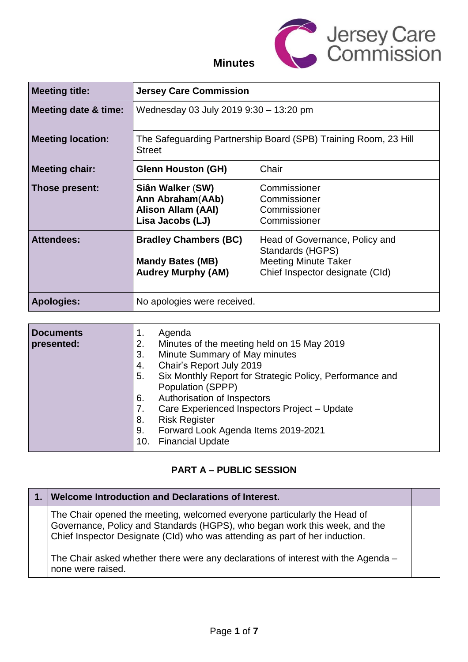

# **Minutes**

| <b>Meeting title:</b>           | <b>Jersey Care Commission</b>                                                                                                                                                                                                                                                                                                |                                                                                                                      |
|---------------------------------|------------------------------------------------------------------------------------------------------------------------------------------------------------------------------------------------------------------------------------------------------------------------------------------------------------------------------|----------------------------------------------------------------------------------------------------------------------|
| <b>Meeting date &amp; time:</b> | Wednesday 03 July 2019 9:30 - 13:20 pm                                                                                                                                                                                                                                                                                       |                                                                                                                      |
| <b>Meeting location:</b>        | <b>Street</b>                                                                                                                                                                                                                                                                                                                | The Safeguarding Partnership Board (SPB) Training Room, 23 Hill                                                      |
| <b>Meeting chair:</b>           | <b>Glenn Houston (GH)</b>                                                                                                                                                                                                                                                                                                    | Chair                                                                                                                |
| Those present:                  | Siân Walker (SW)<br>Ann Abraham(AAb)<br><b>Alison Allam (AAI)</b><br>Lisa Jacobs (LJ)                                                                                                                                                                                                                                        | Commissioner<br>Commissioner<br>Commissioner<br>Commissioner                                                         |
| <b>Attendees:</b>               | <b>Bradley Chambers (BC)</b><br><b>Mandy Bates (MB)</b><br><b>Audrey Murphy (AM)</b>                                                                                                                                                                                                                                         | Head of Governance, Policy and<br>Standards (HGPS)<br><b>Meeting Minute Taker</b><br>Chief Inspector designate (Cld) |
| <b>Apologies:</b>               | No apologies were received.                                                                                                                                                                                                                                                                                                  |                                                                                                                      |
| <b>Documents</b><br>presented:  | Agenda<br>1.<br>Minutes of the meeting held on 15 May 2019<br>2.<br>3.<br>Minute Summary of May minutes<br>Chair's Report July 2019<br>4.<br>5.<br>Population (SPPP)<br>Authorisation of Inspectors<br>6.<br>7.<br><b>Risk Register</b><br>8.<br>Forward Look Agenda Items 2019-2021<br>9.<br><b>Financial Update</b><br>10. | Six Monthly Report for Strategic Policy, Performance and<br>Care Experienced Inspectors Project - Update             |

### **PART A – PUBLIC SESSION**

| <b>Welcome Introduction and Declarations of Interest.</b>                                                                                                                                                                             |  |
|---------------------------------------------------------------------------------------------------------------------------------------------------------------------------------------------------------------------------------------|--|
| The Chair opened the meeting, welcomed everyone particularly the Head of<br>Governance, Policy and Standards (HGPS), who began work this week, and the<br>Chief Inspector Designate (CId) who was attending as part of her induction. |  |
| The Chair asked whether there were any declarations of interest with the Agenda –<br>none were raised.                                                                                                                                |  |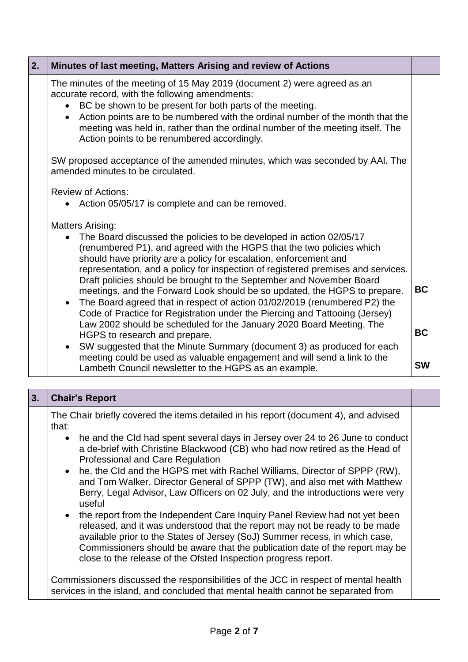| 2. | Minutes of last meeting, Matters Arising and review of Actions                                                                                                                                                                                                                                                                                                                                                          |           |
|----|-------------------------------------------------------------------------------------------------------------------------------------------------------------------------------------------------------------------------------------------------------------------------------------------------------------------------------------------------------------------------------------------------------------------------|-----------|
|    | The minutes of the meeting of 15 May 2019 (document 2) were agreed as an<br>accurate record, with the following amendments:<br>BC be shown to be present for both parts of the meeting.<br>Action points are to be numbered with the ordinal number of the month that the<br>$\bullet$<br>meeting was held in, rather than the ordinal number of the meeting itself. The<br>Action points to be renumbered accordingly. |           |
|    | SW proposed acceptance of the amended minutes, which was seconded by AAI. The<br>amended minutes to be circulated.                                                                                                                                                                                                                                                                                                      |           |
|    | <b>Review of Actions:</b><br>Action 05/05/17 is complete and can be removed.                                                                                                                                                                                                                                                                                                                                            |           |
|    | <b>Matters Arising:</b><br>The Board discussed the policies to be developed in action 02/05/17<br>(renumbered P1), and agreed with the HGPS that the two policies which<br>should have priority are a policy for escalation, enforcement and                                                                                                                                                                            |           |
|    | representation, and a policy for inspection of registered premises and services.<br>Draft policies should be brought to the September and November Board<br>meetings, and the Forward Look should be so updated, the HGPS to prepare.<br>• The Board agreed that in respect of action 01/02/2019 (renumbered P2) the<br>Code of Practice for Registration under the Piercing and Tattooing (Jersey)                     | <b>BC</b> |
|    | Law 2002 should be scheduled for the January 2020 Board Meeting. The<br>HGPS to research and prepare.                                                                                                                                                                                                                                                                                                                   | <b>BC</b> |
|    | SW suggested that the Minute Summary (document 3) as produced for each<br>$\bullet$<br>meeting could be used as valuable engagement and will send a link to the<br>Lambeth Council newsletter to the HGPS as an example.                                                                                                                                                                                                | <b>SW</b> |

| 3. | <b>Chair's Report</b>                                                                                                                                                                                                                                                                                                                                                                        |  |
|----|----------------------------------------------------------------------------------------------------------------------------------------------------------------------------------------------------------------------------------------------------------------------------------------------------------------------------------------------------------------------------------------------|--|
|    | The Chair briefly covered the items detailed in his report (document 4), and advised<br>that:                                                                                                                                                                                                                                                                                                |  |
|    | • he and the Cld had spent several days in Jersey over 24 to 26 June to conduct<br>a de-brief with Christine Blackwood (CB) who had now retired as the Head of<br><b>Professional and Care Regulation</b>                                                                                                                                                                                    |  |
|    | • he, the Cld and the HGPS met with Rachel Williams, Director of SPPP (RW),<br>and Tom Walker, Director General of SPPP (TW), and also met with Matthew<br>Berry, Legal Advisor, Law Officers on 02 July, and the introductions were very<br>useful                                                                                                                                          |  |
|    | • the report from the Independent Care Inquiry Panel Review had not yet been<br>released, and it was understood that the report may not be ready to be made<br>available prior to the States of Jersey (SoJ) Summer recess, in which case,<br>Commissioners should be aware that the publication date of the report may be<br>close to the release of the Ofsted Inspection progress report. |  |
|    | Commissioners discussed the responsibilities of the JCC in respect of mental health<br>services in the island, and concluded that mental health cannot be separated from                                                                                                                                                                                                                     |  |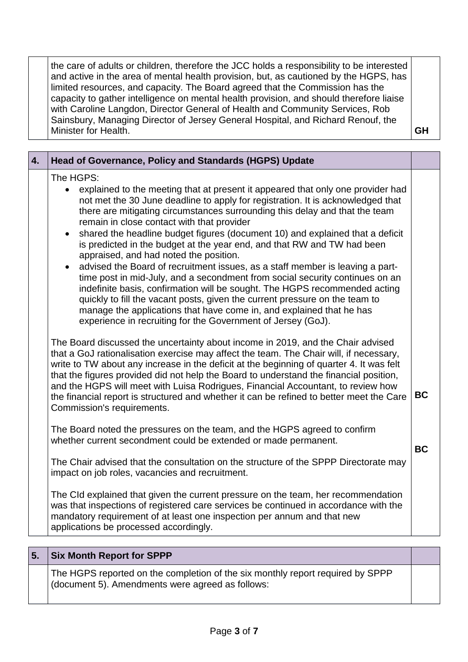the care of adults or children, therefore the JCC holds a responsibility to be interested and active in the area of mental health provision, but, as cautioned by the HGPS, has limited resources, and capacity. The Board agreed that the Commission has the capacity to gather intelligence on mental health provision, and should therefore liaise with Caroline Langdon, Director General of Health and Community Services, Rob Sainsbury, Managing Director of Jersey General Hospital, and Richard Renouf, the Minister for Health. **GH** 

| 4. | Head of Governance, Policy and Standards (HGPS) Update                                                                                                                                                                                                                                                                                                                                                                                                                                                                                                                                                                                                                                                                                                                                                                                                                                                                                                                                                                                                                                                                                                                                                                                                                                                                                                                                                                                                                                                                                                                                                                                                                                                                                                                                                                                                                                                                                                                                                                                                                                                                                                                                           |                        |
|----|--------------------------------------------------------------------------------------------------------------------------------------------------------------------------------------------------------------------------------------------------------------------------------------------------------------------------------------------------------------------------------------------------------------------------------------------------------------------------------------------------------------------------------------------------------------------------------------------------------------------------------------------------------------------------------------------------------------------------------------------------------------------------------------------------------------------------------------------------------------------------------------------------------------------------------------------------------------------------------------------------------------------------------------------------------------------------------------------------------------------------------------------------------------------------------------------------------------------------------------------------------------------------------------------------------------------------------------------------------------------------------------------------------------------------------------------------------------------------------------------------------------------------------------------------------------------------------------------------------------------------------------------------------------------------------------------------------------------------------------------------------------------------------------------------------------------------------------------------------------------------------------------------------------------------------------------------------------------------------------------------------------------------------------------------------------------------------------------------------------------------------------------------------------------------------------------------|------------------------|
|    | The HGPS:<br>explained to the meeting that at present it appeared that only one provider had<br>$\bullet$<br>not met the 30 June deadline to apply for registration. It is acknowledged that<br>there are mitigating circumstances surrounding this delay and that the team<br>remain in close contact with that provider<br>shared the headline budget figures (document 10) and explained that a deficit<br>$\bullet$<br>is predicted in the budget at the year end, and that RW and TW had been<br>appraised, and had noted the position.<br>advised the Board of recruitment issues, as a staff member is leaving a part-<br>time post in mid-July, and a secondment from social security continues on an<br>indefinite basis, confirmation will be sought. The HGPS recommended acting<br>quickly to fill the vacant posts, given the current pressure on the team to<br>manage the applications that have come in, and explained that he has<br>experience in recruiting for the Government of Jersey (GoJ).<br>The Board discussed the uncertainty about income in 2019, and the Chair advised<br>that a GoJ rationalisation exercise may affect the team. The Chair will, if necessary,<br>write to TW about any increase in the deficit at the beginning of quarter 4. It was felt<br>that the figures provided did not help the Board to understand the financial position,<br>and the HGPS will meet with Luisa Rodrigues, Financial Accountant, to review how<br>the financial report is structured and whether it can be refined to better meet the Care<br>Commission's requirements.<br>The Board noted the pressures on the team, and the HGPS agreed to confirm<br>whether current secondment could be extended or made permanent.<br>The Chair advised that the consultation on the structure of the SPPP Directorate may<br>impact on job roles, vacancies and recruitment.<br>The CId explained that given the current pressure on the team, her recommendation<br>was that inspections of registered care services be continued in accordance with the<br>mandatory requirement of at least one inspection per annum and that new<br>applications be processed accordingly. | <b>BC</b><br><b>BC</b> |
|    |                                                                                                                                                                                                                                                                                                                                                                                                                                                                                                                                                                                                                                                                                                                                                                                                                                                                                                                                                                                                                                                                                                                                                                                                                                                                                                                                                                                                                                                                                                                                                                                                                                                                                                                                                                                                                                                                                                                                                                                                                                                                                                                                                                                                  |                        |

### **5. Six Month Report for SPPP**

The HGPS reported on the completion of the six monthly report required by SPPP (document 5). Amendments were agreed as follows: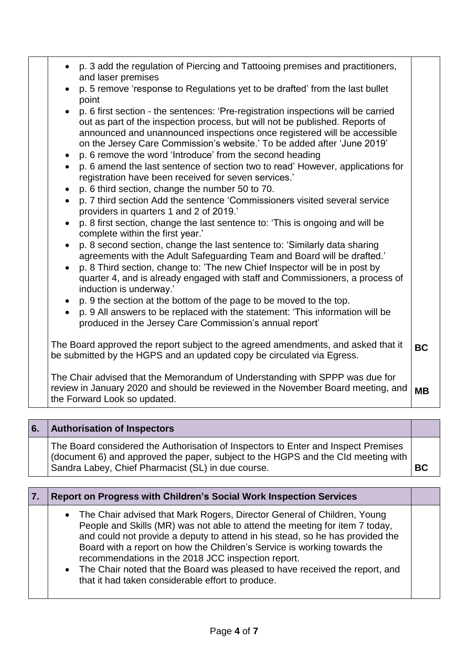| • p. 3 add the regulation of Piercing and Tattooing premises and practitioners,<br>and laser premises                                                                                                                                                                                                                                                                                |           |
|--------------------------------------------------------------------------------------------------------------------------------------------------------------------------------------------------------------------------------------------------------------------------------------------------------------------------------------------------------------------------------------|-----------|
| p. 5 remove 'response to Regulations yet to be drafted' from the last bullet<br>point                                                                                                                                                                                                                                                                                                |           |
| p. 6 first section - the sentences: 'Pre-registration inspections will be carried<br>out as part of the inspection process, but will not be published. Reports of<br>announced and unannounced inspections once registered will be accessible<br>on the Jersey Care Commission's website.' To be added after 'June 2019'<br>p. 6 remove the word 'Introduce' from the second heading |           |
| • p. 6 amend the last sentence of section two to read' However, applications for<br>registration have been received for seven services.'                                                                                                                                                                                                                                             |           |
| p. 6 third section, change the number 50 to 70.<br>p. 7 third section Add the sentence 'Commissioners visited several service<br>providers in quarters 1 and 2 of 2019.'                                                                                                                                                                                                             |           |
| p. 8 first section, change the last sentence to: 'This is ongoing and will be<br>complete within the first year.'                                                                                                                                                                                                                                                                    |           |
| p. 8 second section, change the last sentence to: 'Similarly data sharing<br>agreements with the Adult Safeguarding Team and Board will be drafted.'<br>p. 8 Third section, change to: 'The new Chief Inspector will be in post by<br>quarter 4, and is already engaged with staff and Commissioners, a process of<br>induction is underway.'                                        |           |
| • p. 9 the section at the bottom of the page to be moved to the top.<br>p. 9 All answers to be replaced with the statement: 'This information will be<br>produced in the Jersey Care Commission's annual report'                                                                                                                                                                     |           |
| The Board approved the report subject to the agreed amendments, and asked that it<br>be submitted by the HGPS and an updated copy be circulated via Egress.                                                                                                                                                                                                                          | <b>BC</b> |
| The Chair advised that the Memorandum of Understanding with SPPP was due for<br>review in January 2020 and should be reviewed in the November Board meeting, and<br>the Forward Look so updated.                                                                                                                                                                                     | <b>MB</b> |

| 6. | <b>Authorisation of Inspectors</b>                                                                                                                                                                                            |           |
|----|-------------------------------------------------------------------------------------------------------------------------------------------------------------------------------------------------------------------------------|-----------|
|    | The Board considered the Authorisation of Inspectors to Enter and Inspect Premises<br>(document 6) and approved the paper, subject to the HGPS and the CId meeting with<br>Sandra Labey, Chief Pharmacist (SL) in due course. | <b>BC</b> |

| 7. | Report on Progress with Children's Social Work Inspection Services                                                                                                                                                                                                                                                                                                                                                                                                                                                |  |
|----|-------------------------------------------------------------------------------------------------------------------------------------------------------------------------------------------------------------------------------------------------------------------------------------------------------------------------------------------------------------------------------------------------------------------------------------------------------------------------------------------------------------------|--|
|    | • The Chair advised that Mark Rogers, Director General of Children, Young<br>People and Skills (MR) was not able to attend the meeting for item 7 today,<br>and could not provide a deputy to attend in his stead, so he has provided the<br>Board with a report on how the Children's Service is working towards the<br>recommendations in the 2018 JCC inspection report.<br>• The Chair noted that the Board was pleased to have received the report, and<br>that it had taken considerable effort to produce. |  |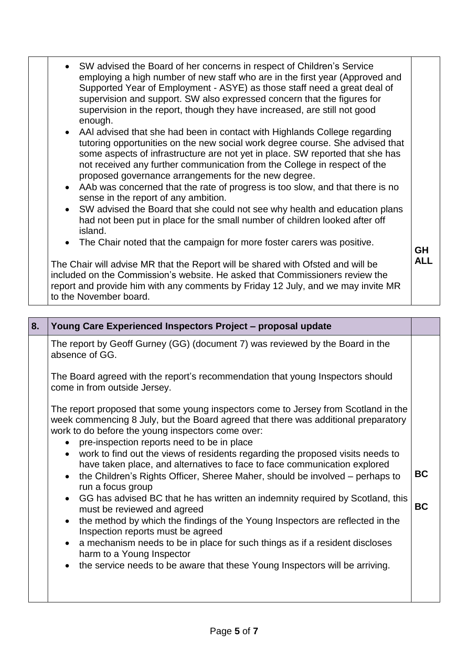| • SW advised the Board of her concerns in respect of Children's Service<br>employing a high number of new staff who are in the first year (Approved and<br>Supported Year of Employment - ASYE) as those staff need a great deal of<br>supervision and support. SW also expressed concern that the figures for<br>supervision in the report, though they have increased, are still not good<br>enough.<br>• AAI advised that she had been in contact with Highlands College regarding<br>tutoring opportunities on the new social work degree course. She advised that<br>some aspects of infrastructure are not yet in place. SW reported that she has<br>not received any further communication from the College in respect of the<br>proposed governance arrangements for the new degree.<br>• AAb was concerned that the rate of progress is too slow, and that there is no<br>sense in the report of any ambition. |            |
|-------------------------------------------------------------------------------------------------------------------------------------------------------------------------------------------------------------------------------------------------------------------------------------------------------------------------------------------------------------------------------------------------------------------------------------------------------------------------------------------------------------------------------------------------------------------------------------------------------------------------------------------------------------------------------------------------------------------------------------------------------------------------------------------------------------------------------------------------------------------------------------------------------------------------|------------|
| • SW advised the Board that she could not see why health and education plans<br>had not been put in place for the small number of children looked after off<br>island.<br>• The Chair noted that the campaign for more foster carers was positive.                                                                                                                                                                                                                                                                                                                                                                                                                                                                                                                                                                                                                                                                      |            |
|                                                                                                                                                                                                                                                                                                                                                                                                                                                                                                                                                                                                                                                                                                                                                                                                                                                                                                                         | <b>GH</b>  |
| The Chair will advise MR that the Report will be shared with Ofsted and will be<br>included on the Commission's website. He asked that Commissioners review the<br>report and provide him with any comments by Friday 12 July, and we may invite MR<br>to the November board.                                                                                                                                                                                                                                                                                                                                                                                                                                                                                                                                                                                                                                           | <b>ALL</b> |

| 8. | Young Care Experienced Inspectors Project - proposal update                                                                                                                                                                                                                                                                                                                                                                                                                                                                                                                                                                                                                                                                                                                                                                                                                                                                                                                                                        |                        |
|----|--------------------------------------------------------------------------------------------------------------------------------------------------------------------------------------------------------------------------------------------------------------------------------------------------------------------------------------------------------------------------------------------------------------------------------------------------------------------------------------------------------------------------------------------------------------------------------------------------------------------------------------------------------------------------------------------------------------------------------------------------------------------------------------------------------------------------------------------------------------------------------------------------------------------------------------------------------------------------------------------------------------------|------------------------|
|    | The report by Geoff Gurney (GG) (document 7) was reviewed by the Board in the<br>absence of GG.                                                                                                                                                                                                                                                                                                                                                                                                                                                                                                                                                                                                                                                                                                                                                                                                                                                                                                                    |                        |
|    | The Board agreed with the report's recommendation that young Inspectors should<br>come in from outside Jersey.                                                                                                                                                                                                                                                                                                                                                                                                                                                                                                                                                                                                                                                                                                                                                                                                                                                                                                     |                        |
|    | The report proposed that some young inspectors come to Jersey from Scotland in the<br>week commencing 8 July, but the Board agreed that there was additional preparatory<br>work to do before the young inspectors come over:<br>pre-inspection reports need to be in place<br>$\bullet$<br>work to find out the views of residents regarding the proposed visits needs to<br>$\bullet$<br>have taken place, and alternatives to face to face communication explored<br>• the Children's Rights Officer, Sheree Maher, should be involved – perhaps to<br>run a focus group<br>• GG has advised BC that he has written an indemnity required by Scotland, this<br>must be reviewed and agreed<br>the method by which the findings of the Young Inspectors are reflected in the<br>Inspection reports must be agreed<br>• a mechanism needs to be in place for such things as if a resident discloses<br>harm to a Young Inspector<br>• the service needs to be aware that these Young Inspectors will be arriving. | <b>BC</b><br><b>BC</b> |
|    |                                                                                                                                                                                                                                                                                                                                                                                                                                                                                                                                                                                                                                                                                                                                                                                                                                                                                                                                                                                                                    |                        |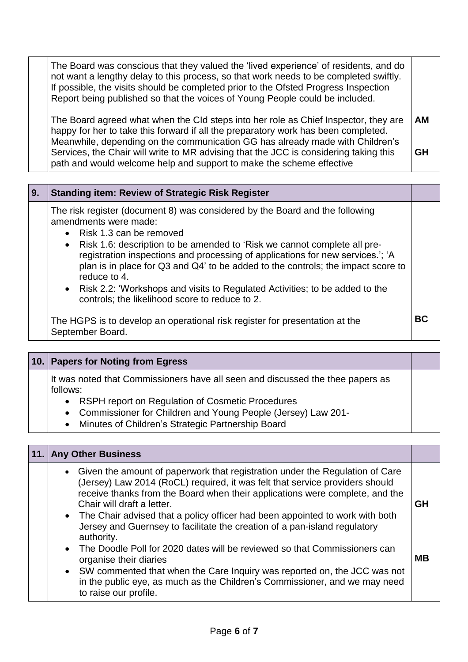| The Board was conscious that they valued the 'lived experience' of residents, and do<br>not want a lengthy delay to this process, so that work needs to be completed swiftly.<br>If possible, the visits should be completed prior to the Ofsted Progress Inspection<br>Report being published so that the voices of Young People could be included. |           |  |
|------------------------------------------------------------------------------------------------------------------------------------------------------------------------------------------------------------------------------------------------------------------------------------------------------------------------------------------------------|-----------|--|
| The Board agreed what when the CId steps into her role as Chief Inspector, they are<br>happy for her to take this forward if all the preparatory work has been completed.<br>Meanwhile, depending on the communication GG has already made with Children's                                                                                           | <b>AM</b> |  |
| Services, the Chair will write to MR advising that the JCC is considering taking this<br>path and would welcome help and support to make the scheme effective                                                                                                                                                                                        | <b>GH</b> |  |

| 9 <sub>1</sub> | <b>Standing item: Review of Strategic Risk Register</b>                                                                                                                                                                                                                                                                                                                                                                                                                                                                                   |           |
|----------------|-------------------------------------------------------------------------------------------------------------------------------------------------------------------------------------------------------------------------------------------------------------------------------------------------------------------------------------------------------------------------------------------------------------------------------------------------------------------------------------------------------------------------------------------|-----------|
|                | The risk register (document 8) was considered by the Board and the following<br>amendments were made:<br>• Risk 1.3 can be removed<br>• Risk 1.6: description to be amended to 'Risk we cannot complete all pre-<br>registration inspections and processing of applications for new services.'; 'A<br>plan is in place for Q3 and Q4' to be added to the controls; the impact score to<br>reduce to 4.<br>• Risk 2.2: 'Workshops and visits to Regulated Activities; to be added to the<br>controls; the likelihood score to reduce to 2. |           |
|                | The HGPS is to develop an operational risk register for presentation at the<br>September Board.                                                                                                                                                                                                                                                                                                                                                                                                                                           | <b>BC</b> |

| 10. Papers for Noting from Egress                                                                                                                                                                                                                                                  |  |
|------------------------------------------------------------------------------------------------------------------------------------------------------------------------------------------------------------------------------------------------------------------------------------|--|
| It was noted that Commissioners have all seen and discussed the thee papers as<br>follows:<br>RSPH report on Regulation of Cosmetic Procedures<br>• Commissioner for Children and Young People (Jersey) Law 201-<br>Minutes of Children's Strategic Partnership Board<br>$\bullet$ |  |

### **11. Any Other Business**

| III VUIVI PUJIIIVJJ                                                                                                                                                                                                                                                                                                                                                                                                                                       |           |  |  |  |
|-----------------------------------------------------------------------------------------------------------------------------------------------------------------------------------------------------------------------------------------------------------------------------------------------------------------------------------------------------------------------------------------------------------------------------------------------------------|-----------|--|--|--|
| • Given the amount of paperwork that registration under the Regulation of Care<br>(Jersey) Law 2014 (RoCL) required, it was felt that service providers should<br>receive thanks from the Board when their applications were complete, and the<br>Chair will draft a letter.<br>• The Chair advised that a policy officer had been appointed to work with both<br>Jersey and Guernsey to facilitate the creation of a pan-island regulatory<br>authority. | <b>GH</b> |  |  |  |
| The Doodle Poll for 2020 dates will be reviewed so that Commissioners can<br>$\bullet$<br>organise their diaries<br>• SW commented that when the Care Inquiry was reported on, the JCC was not<br>in the public eye, as much as the Children's Commissioner, and we may need<br>to raise our profile.                                                                                                                                                     | MВ        |  |  |  |